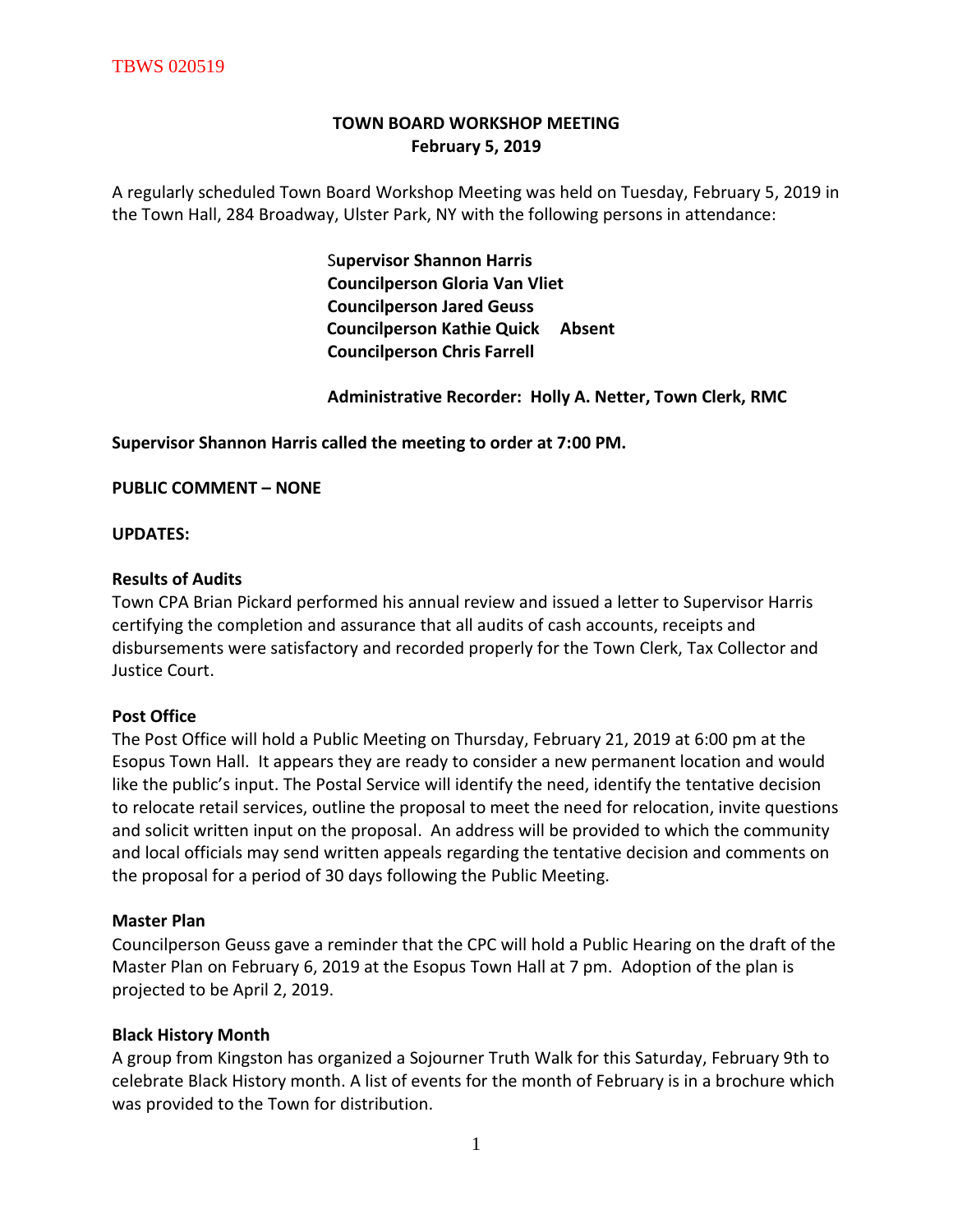# **TOWN BOARD WORKSHOP MEETING February 5, 2019**

A regularly scheduled Town Board Workshop Meeting was held on Tuesday, February 5, 2019 in the Town Hall, 284 Broadway, Ulster Park, NY with the following persons in attendance:

> S**upervisor Shannon Harris Councilperson Gloria Van Vliet Councilperson Jared Geuss Councilperson Kathie Quick Absent Councilperson Chris Farrell**

 **Administrative Recorder: Holly A. Netter, Town Clerk, RMC**

**Supervisor Shannon Harris called the meeting to order at 7:00 PM.** 

**PUBLIC COMMENT – NONE**

#### **UPDATES:**

#### **Results of Audits**

Town CPA Brian Pickard performed his annual review and issued a letter to Supervisor Harris certifying the completion and assurance that all audits of cash accounts, receipts and disbursements were satisfactory and recorded properly for the Town Clerk, Tax Collector and Justice Court.

# **Post Office**

The Post Office will hold a Public Meeting on Thursday, February 21, 2019 at 6:00 pm at the Esopus Town Hall. It appears they are ready to consider a new permanent location and would like the public's input. The Postal Service will identify the need, identify the tentative decision to relocate retail services, outline the proposal to meet the need for relocation, invite questions and solicit written input on the proposal. An address will be provided to which the community and local officials may send written appeals regarding the tentative decision and comments on the proposal for a period of 30 days following the Public Meeting.

# **Master Plan**

Councilperson Geuss gave a reminder that the CPC will hold a Public Hearing on the draft of the Master Plan on February 6, 2019 at the Esopus Town Hall at 7 pm. Adoption of the plan is projected to be April 2, 2019.

# **Black History Month**

A group from Kingston has organized a Sojourner Truth Walk for this Saturday, February 9th to celebrate Black History month. A list of events for the month of February is in a brochure which was provided to the Town for distribution.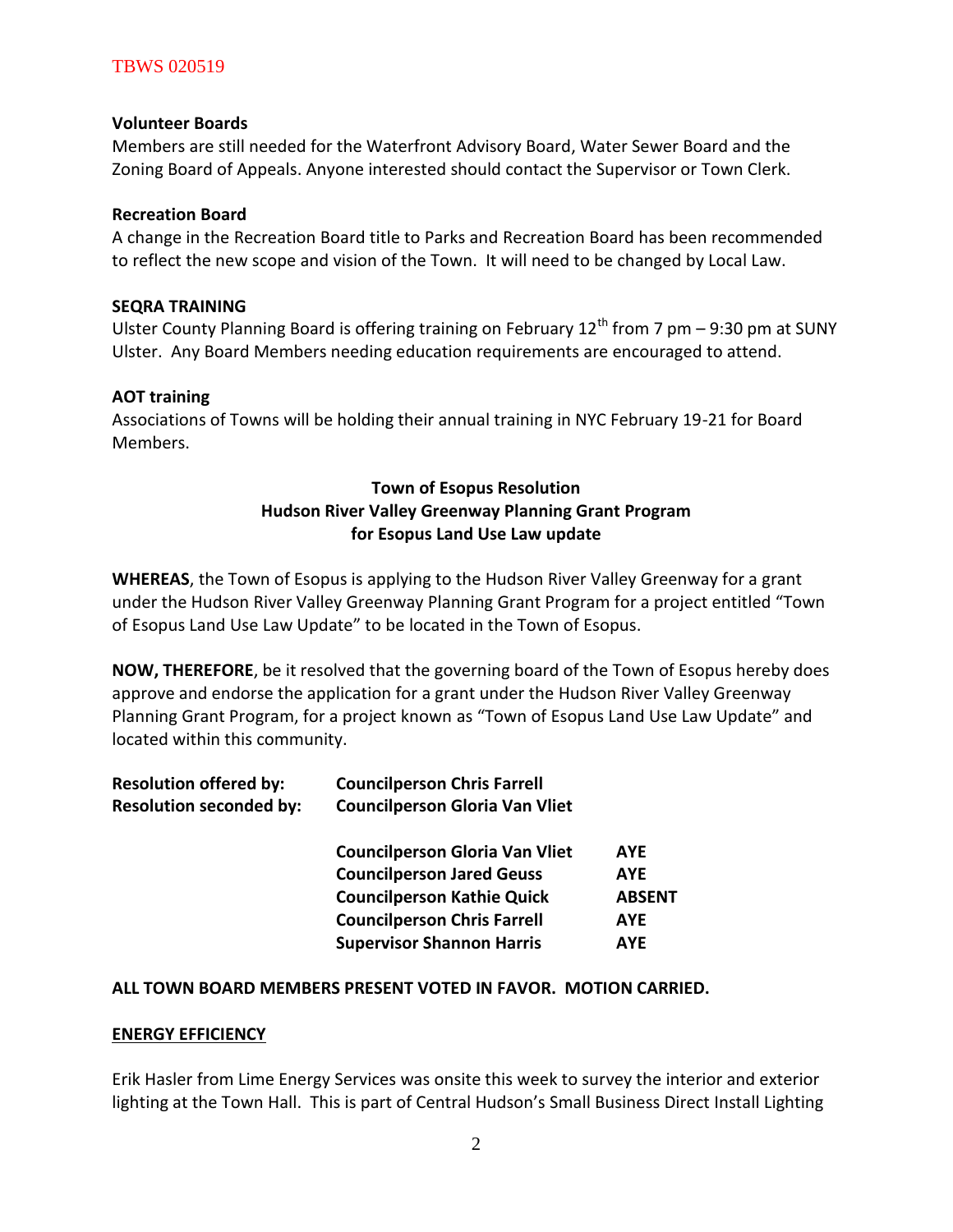# TBWS 020519

#### **Volunteer Boards**

Members are still needed for the Waterfront Advisory Board, Water Sewer Board and the Zoning Board of Appeals. Anyone interested should contact the Supervisor or Town Clerk.

#### **Recreation Board**

A change in the Recreation Board title to Parks and Recreation Board has been recommended to reflect the new scope and vision of the Town. It will need to be changed by Local Law.

#### **SEQRA TRAINING**

Ulster County Planning Board is offering training on February 12<sup>th</sup> from 7 pm – 9:30 pm at SUNY Ulster. Any Board Members needing education requirements are encouraged to attend.

#### **AOT training**

Associations of Towns will be holding their annual training in NYC February 19-21 for Board Members.

# **Town of Esopus Resolution Hudson River Valley Greenway Planning Grant Program for Esopus Land Use Law update**

**WHEREAS**, the Town of Esopus is applying to the Hudson River Valley Greenway for a grant under the Hudson River Valley Greenway Planning Grant Program for a project entitled "Town of Esopus Land Use Law Update" to be located in the Town of Esopus.

**NOW, THEREFORE**, be it resolved that the governing board of the Town of Esopus hereby does approve and endorse the application for a grant under the Hudson River Valley Greenway Planning Grant Program, for a project known as "Town of Esopus Land Use Law Update" and located within this community.

| <b>Resolution offered by:</b><br><b>Resolution seconded by:</b> | <b>Councilperson Chris Farrell</b><br><b>Councilperson Gloria Van Vliet</b> |               |
|-----------------------------------------------------------------|-----------------------------------------------------------------------------|---------------|
|                                                                 | <b>Councilperson Gloria Van Vliet</b>                                       | <b>AYE</b>    |
|                                                                 |                                                                             |               |
|                                                                 | <b>Councilperson Jared Geuss</b>                                            | <b>AYE</b>    |
|                                                                 | <b>Councilperson Kathie Quick</b>                                           | <b>ABSENT</b> |
|                                                                 | <b>Councilperson Chris Farrell</b>                                          | <b>AYE</b>    |
|                                                                 | <b>Supervisor Shannon Harris</b>                                            | <b>AYF</b>    |

# **ALL TOWN BOARD MEMBERS PRESENT VOTED IN FAVOR. MOTION CARRIED.**

# **ENERGY EFFICIENCY**

Erik Hasler from Lime Energy Services was onsite this week to survey the interior and exterior lighting at the Town Hall. This is part of Central Hudson's Small Business Direct Install Lighting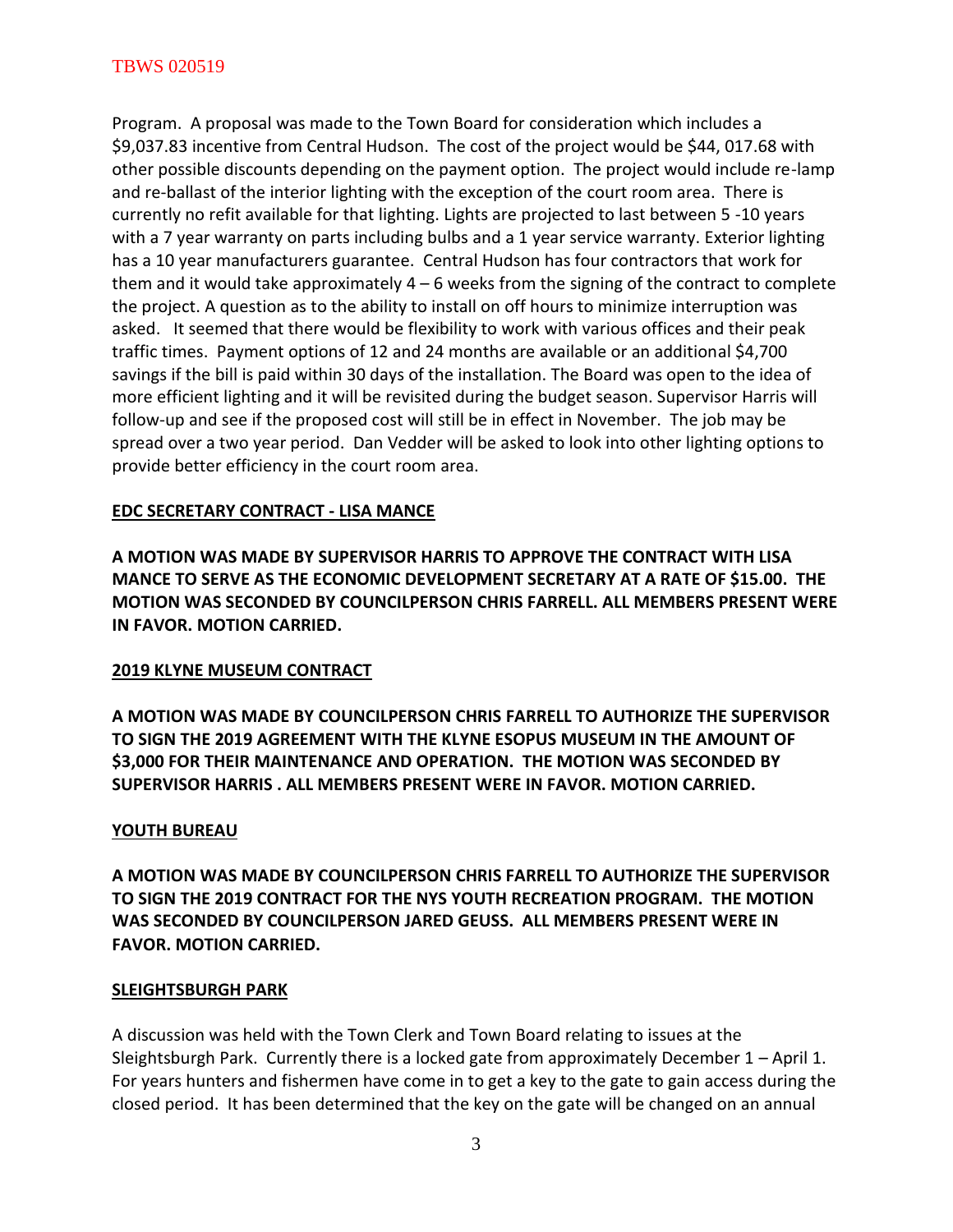Program. A proposal was made to the Town Board for consideration which includes a \$9,037.83 incentive from Central Hudson. The cost of the project would be \$44, 017.68 with other possible discounts depending on the payment option. The project would include re-lamp and re-ballast of the interior lighting with the exception of the court room area. There is currently no refit available for that lighting. Lights are projected to last between 5 -10 years with a 7 year warranty on parts including bulbs and a 1 year service warranty. Exterior lighting has a 10 year manufacturers guarantee. Central Hudson has four contractors that work for them and it would take approximately  $4 - 6$  weeks from the signing of the contract to complete the project. A question as to the ability to install on off hours to minimize interruption was asked. It seemed that there would be flexibility to work with various offices and their peak traffic times. Payment options of 12 and 24 months are available or an additional \$4,700 savings if the bill is paid within 30 days of the installation. The Board was open to the idea of more efficient lighting and it will be revisited during the budget season. Supervisor Harris will follow-up and see if the proposed cost will still be in effect in November. The job may be spread over a two year period. Dan Vedder will be asked to look into other lighting options to provide better efficiency in the court room area.

# **EDC SECRETARY CONTRACT - LISA MANCE**

**A MOTION WAS MADE BY SUPERVISOR HARRIS TO APPROVE THE CONTRACT WITH LISA MANCE TO SERVE AS THE ECONOMIC DEVELOPMENT SECRETARY AT A RATE OF \$15.00. THE MOTION WAS SECONDED BY COUNCILPERSON CHRIS FARRELL. ALL MEMBERS PRESENT WERE IN FAVOR. MOTION CARRIED.** 

# **2019 KLYNE MUSEUM CONTRACT**

**A MOTION WAS MADE BY COUNCILPERSON CHRIS FARRELL TO AUTHORIZE THE SUPERVISOR TO SIGN THE 2019 AGREEMENT WITH THE KLYNE ESOPUS MUSEUM IN THE AMOUNT OF \$3,000 FOR THEIR MAINTENANCE AND OPERATION. THE MOTION WAS SECONDED BY SUPERVISOR HARRIS . ALL MEMBERS PRESENT WERE IN FAVOR. MOTION CARRIED.** 

# **YOUTH BUREAU**

**A MOTION WAS MADE BY COUNCILPERSON CHRIS FARRELL TO AUTHORIZE THE SUPERVISOR TO SIGN THE 2019 CONTRACT FOR THE NYS YOUTH RECREATION PROGRAM. THE MOTION WAS SECONDED BY COUNCILPERSON JARED GEUSS. ALL MEMBERS PRESENT WERE IN FAVOR. MOTION CARRIED.** 

# **SLEIGHTSBURGH PARK**

A discussion was held with the Town Clerk and Town Board relating to issues at the Sleightsburgh Park. Currently there is a locked gate from approximately December 1 – April 1. For years hunters and fishermen have come in to get a key to the gate to gain access during the closed period. It has been determined that the key on the gate will be changed on an annual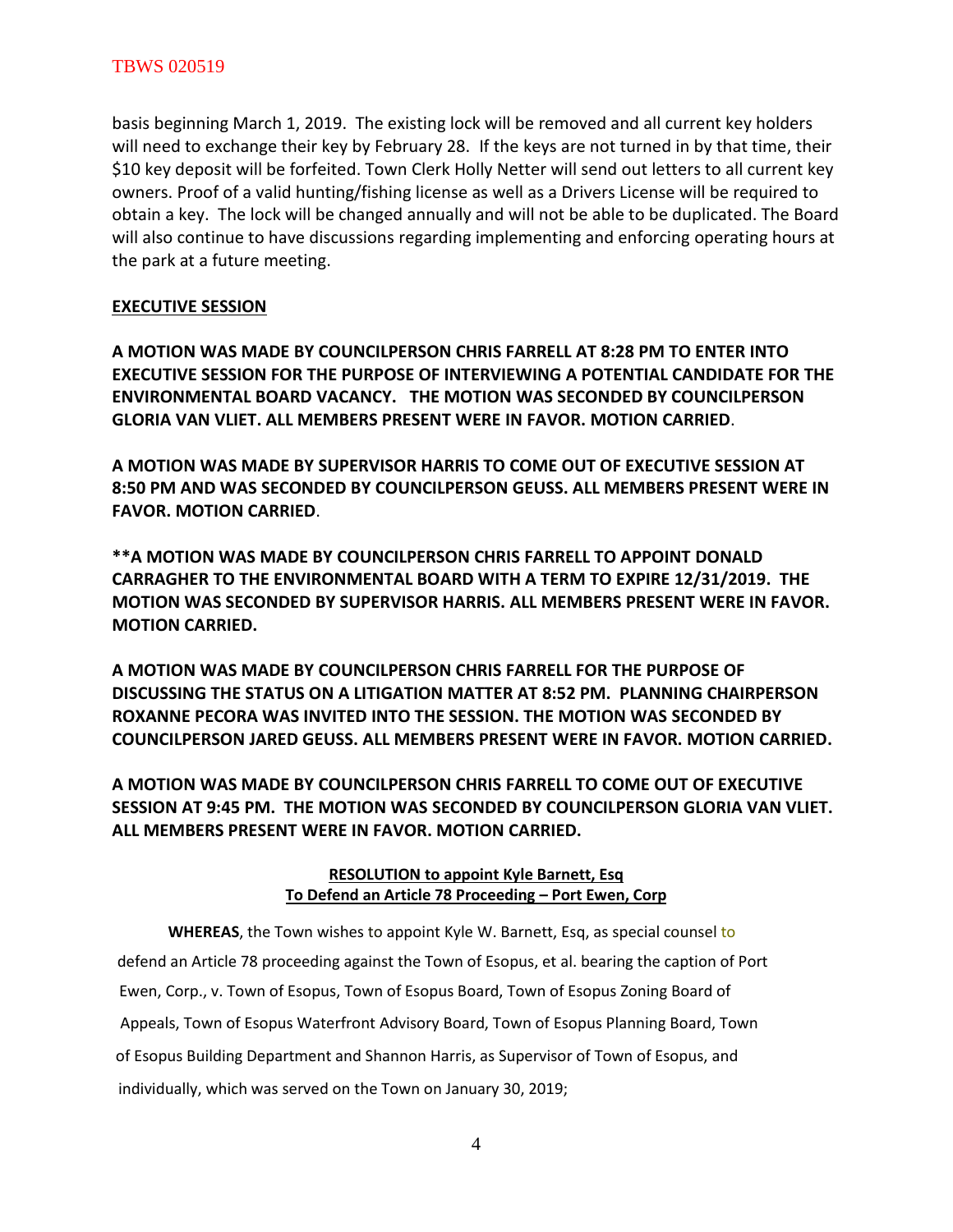#### TBWS 020519

basis beginning March 1, 2019. The existing lock will be removed and all current key holders will need to exchange their key by February 28. If the keys are not turned in by that time, their \$10 key deposit will be forfeited. Town Clerk Holly Netter will send out letters to all current key owners. Proof of a valid hunting/fishing license as well as a Drivers License will be required to obtain a key. The lock will be changed annually and will not be able to be duplicated. The Board will also continue to have discussions regarding implementing and enforcing operating hours at the park at a future meeting.

#### **EXECUTIVE SESSION**

**A MOTION WAS MADE BY COUNCILPERSON CHRIS FARRELL AT 8:28 PM TO ENTER INTO EXECUTIVE SESSION FOR THE PURPOSE OF INTERVIEWING A POTENTIAL CANDIDATE FOR THE ENVIRONMENTAL BOARD VACANCY. THE MOTION WAS SECONDED BY COUNCILPERSON GLORIA VAN VLIET. ALL MEMBERS PRESENT WERE IN FAVOR. MOTION CARRIED**.

**A MOTION WAS MADE BY SUPERVISOR HARRIS TO COME OUT OF EXECUTIVE SESSION AT 8:50 PM AND WAS SECONDED BY COUNCILPERSON GEUSS. ALL MEMBERS PRESENT WERE IN FAVOR. MOTION CARRIED**.

**\*\*A MOTION WAS MADE BY COUNCILPERSON CHRIS FARRELL TO APPOINT DONALD CARRAGHER TO THE ENVIRONMENTAL BOARD WITH A TERM TO EXPIRE 12/31/2019. THE MOTION WAS SECONDED BY SUPERVISOR HARRIS. ALL MEMBERS PRESENT WERE IN FAVOR. MOTION CARRIED.** 

**A MOTION WAS MADE BY COUNCILPERSON CHRIS FARRELL FOR THE PURPOSE OF DISCUSSING THE STATUS ON A LITIGATION MATTER AT 8:52 PM. PLANNING CHAIRPERSON ROXANNE PECORA WAS INVITED INTO THE SESSION. THE MOTION WAS SECONDED BY COUNCILPERSON JARED GEUSS. ALL MEMBERS PRESENT WERE IN FAVOR. MOTION CARRIED.** 

**A MOTION WAS MADE BY COUNCILPERSON CHRIS FARRELL TO COME OUT OF EXECUTIVE SESSION AT 9:45 PM. THE MOTION WAS SECONDED BY COUNCILPERSON GLORIA VAN VLIET. ALL MEMBERS PRESENT WERE IN FAVOR. MOTION CARRIED.** 

# **RESOLUTION to appoint Kyle Barnett, Esq To Defend an Article 78 Proceeding – Port Ewen, Corp**

**WHEREAS**, the Town wishes to appoint Kyle W. Barnett, Esq, as special counsel to defend an Article 78 proceeding against the Town of Esopus, et al. bearing the caption of Port Ewen, Corp., v. Town of Esopus, Town of Esopus Board, Town of Esopus Zoning Board of Appeals, Town of Esopus Waterfront Advisory Board, Town of Esopus Planning Board, Town of Esopus Building Department and Shannon Harris, as Supervisor of Town of Esopus, and individually, which was served on the Town on January 30, 2019;